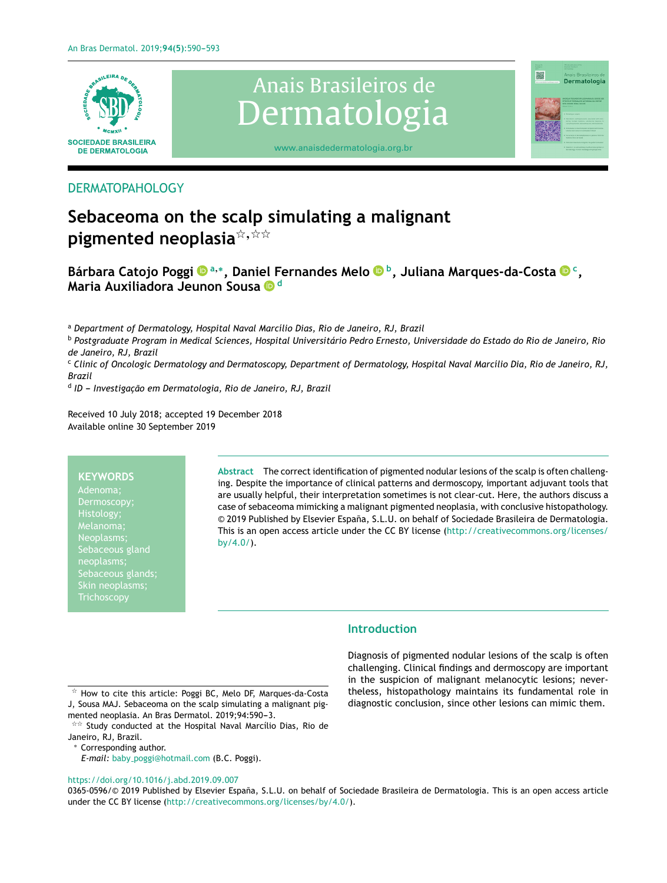

# Anais Brasileiros de Dermatologia



[www.anaisdedermatologia.org.br](http://www.abd.org)

### DERMATOPAHOLOGY

# **Sebaceoma on the scalp simulating a malignant**  $\bm{{\mathsf{p}}}$ igmented neoplasia $^{\text{a}}$ <sup>,  $\text{b}$   $\text{c}$ </sup>

## **Bárbara Catojo Pogg[i](https://orcid.org/0000-0002-3841-7114) <sup>a</sup>**,<sup>∗</sup> **, Daniel Fernandes Melo <sup>b</sup> , Juliana Marques-da-Cost[a](https://orcid.org/0000-0003-0401-1068) <sup>c</sup> , Maria Auxiliadora Jeunon Sousa <sup>d</sup>**

<sup>a</sup> *Department of Dermatology, Hospital Naval Marcílio Dias, Rio de Janeiro, RJ, Brazil*

<sup>b</sup> Postgraduate Program in Medical Sciences, Hospital Universitário Pedro Ernesto, Universidade do Estado do Rio de Janeiro, Rio *de Janeiro, RJ, Brazil*

<sup>c</sup> Clinic of Oncologic Dermatology and Dermatoscopy, Department of Dermatology, Hospital Naval Marcílio Dia, Rio de Janeiro, RJ, *Brazil*

d *ID --- Investigac¸ão em Dermatologia, Rio de Janeiro, RJ, Brazil*

Received 10 July 2018; accepted 19 December 2018 Available online 30 September 2019

#### **KEYWORDS**

Adenoma; Dermoscopy; Histology; Melanoma; baceous glands; **Trichoscopy** 

**Abstract** The correct identification of pigmented nodular lesions of the scalp is often challenging. Despite the importance of clinical patterns and dermoscopy, important adjuvant tools that are usually helpful, their interpretation sometimes is not clear-cut. Here, the authors discuss a case of sebaceoma mimicking a malignant pigmented neoplasia, with conclusive histopathology. © 2019 Published by Elsevier España, S.L.U. on behalf of Sociedade Brasileira de Dermatologia. This is an open access article under the CC BY license ([http://creativecommons.org/licenses/](http://creativecommons.org/licenses/by/4.0/) [by/4.0/](http://creativecommons.org/licenses/by/4.0/)).

#### **Introduction**

Diagnosis of pigmented nodular lesions of the scalp is often challenging. Clinical findings and dermoscopy are important in the suspicion of malignant melanocytic lesions; nevertheless, histopathology maintains its fundamental role in diagnostic conclusion, since other lesions can mimic them.

#### <https://doi.org/10.1016/j.abd.2019.09.007>

 $*$  How to cite this article: Poggi BC, Melo DF, Marques-da-Costa J, Sousa MAJ. Sebaceoma on the scalp simulating a malignant pigmented neoplasia. An Bras Dermatol. 2019;94:590-3.

<sup>-</sup>- Study conducted at the Hospital Naval Marcílio Dias, Rio de Janeiro, RJ, Brazil.

<sup>∗</sup> Corresponding author.

*E-mail:* baby [poggi@hotmail.com](mailto:baby_poggi@hotmail.com) (B.C. Poggi).

<sup>0365-0596/© 2019</sup> Published by Elsevier España, S.L.U. on behalf of Sociedade Brasileira de Dermatologia. This is an open access article under the CC BY license (<http://creativecommons.org/licenses/by/4.0/>).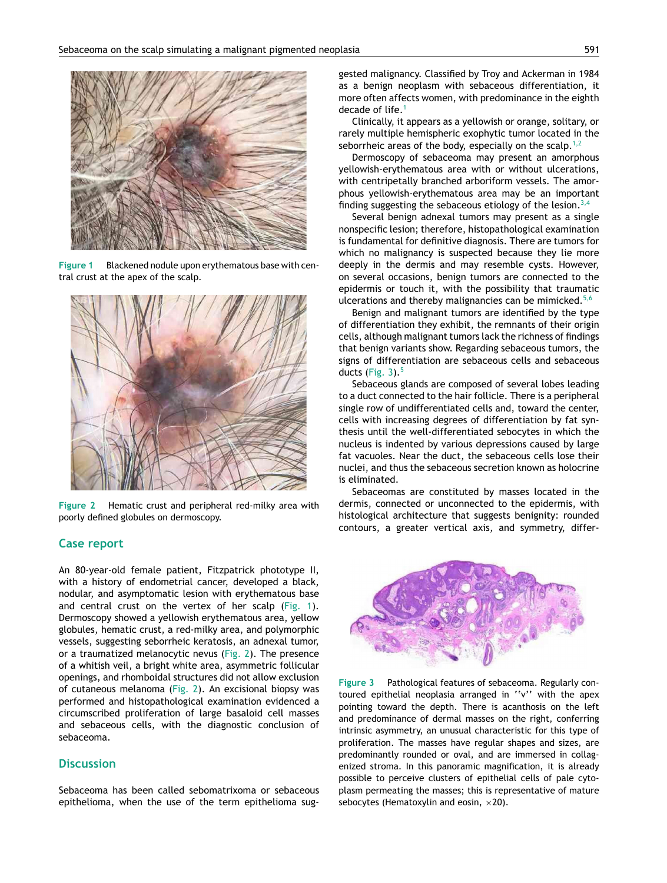<span id="page-1-0"></span>

**Figure 1** Blackened nodule upon erythematous base with central crust at the apex of the scalp.



**Figure 2** Hematic crust and peripheral red-milky area with poorly defined globules on dermoscopy.

#### **Case report**

An 80-year-old female patient, Fitzpatrick phototype II, with a history of endometrial cancer, developed a black, nodular, and asymptomatic lesion with erythematous base and central crust on the vertex of her scalp (Fig. 1). Dermoscopy showed a yellowish erythematous area, yellow globules, hematic crust, a red-milky area, and polymorphic vessels, suggesting seborrheic keratosis, an adnexal tumor, or a traumatized melanocytic nevus (Fig. 2). The presence of a whitish veil, a bright white area, asymmetric follicular openings, and rhomboidal structures did not allow exclusion of cutaneous melanoma (Fig. 2). An excisional biopsy was performed and histopathological examination evidenced a circumscribed proliferation of large basaloid cell masses and sebaceous cells, with the diagnostic conclusion of sebaceoma.

#### **Discussion**

Sebaceoma has been called sebomatrixoma or sebaceous epithelioma, when the use of the term epithelioma suggested malignancy. Classified by Troy and Ackerman in 1984 as a benign neoplasm with sebaceous differentiation, it more often affects women, with predominance in the eighth decade of life.[1](#page-3-0)

Clinically, it appears as a yellowish or orange, solitary, or rarely multiple hemispheric exophytic tumor located in the seborrheic areas of the body, especially on the scalp.<sup>[1,2](#page-3-0)</sup>

Dermoscopy of sebaceoma may present an amorphous yellowish-erythematous area with or without ulcerations, with centripetally branched arboriform vessels. The amorphous yellowish-erythematous area may be an important finding suggesting the sebaceous etiology of the lesion.<sup>[3,4](#page-3-0)</sup>

Several benign adnexal tumors may present as a single nonspecific lesion; therefore, histopathological examination is fundamental for definitive diagnosis. There are tumors for which no malignancy is suspected because they lie more deeply in the dermis and may resemble cysts. However, on several occasions, benign tumors are connected to the epidermis or touch it, with the possibility that traumatic ulcerations and thereby malignancies can be mimicked.<sup>[5,6](#page-3-0)</sup>

Benign and malignant tumors are identified by the type of differentiation they exhibit, the remnants of their origin cells, although malignant tumors lack the richness of findings that benign variants show. Regarding sebaceous tumors, the signs of differentiation are sebaceous cells and sebaceous ducts (Fig.  $3$ ).<sup>[5](#page-3-0)</sup>

Sebaceous glands are composed of several lobes leading to a duct connected to the hair follicle. There is a peripheral single row of undifferentiated cells and, toward the center, cells with increasing degrees of differentiation by fat synthesis until the well-differentiated sebocytes in which the nucleus is indented by various depressions caused by large fat vacuoles. Near the duct, the sebaceous cells lose their nuclei, and thus the sebaceous secretion known as holocrine is eliminated.

Sebaceomas are constituted by masses located in the dermis, connected or unconnected to the epidermis, with histological architecture that suggests benignity: rounded contours, a greater vertical axis, and symmetry, differ-



**Figure 3** Pathological features of sebaceoma. Regularly contoured epithelial neoplasia arranged in ''v'' with the apex pointing toward the depth. There is acanthosis on the left and predominance of dermal masses on the right, conferring intrinsic asymmetry, an unusual characteristic for this type of proliferation. The masses have regular shapes and sizes, are predominantly rounded or oval, and are immersed in collagenized stroma. In this panoramic magnification, it is already possible to perceive clusters of epithelial cells of pale cytoplasm permeating the masses; this is representative of mature sebocytes (Hematoxylin and eosin,  $\times$ 20).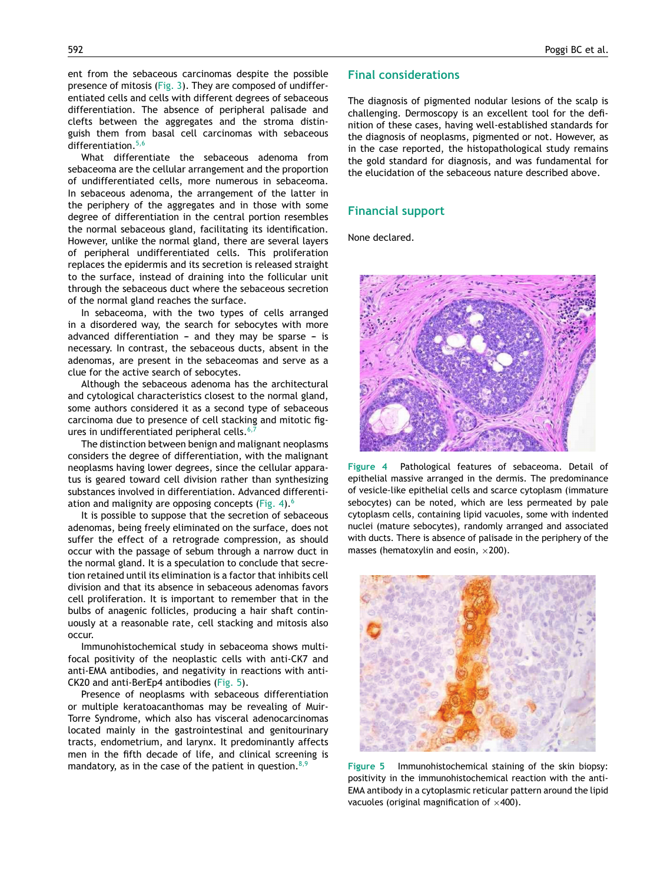ent from the sebaceous carcinomas despite the possible presence of mitosis ([Fig.](#page-1-0) 3). They are composed of undifferentiated cells and cells with different degrees of sebaceous differentiation. The absence of peripheral palisade and clefts between the aggregates and the stroma distinguish them from basal cell carcinomas with sebaceous differentiation.<sup>[5,6](#page-3-0)</sup>

What differentiate the sebaceous adenoma from sebaceoma are the cellular arrangement and the proportion of undifferentiated cells, more numerous in sebaceoma. In sebaceous adenoma, the arrangement of the latter in the periphery of the aggregates and in those with some degree of differentiation in the central portion resembles the normal sebaceous gland, facilitating its identification. However, unlike the normal gland, there are several layers of peripheral undifferentiated cells. This proliferation replaces the epidermis and its secretion is released straight to the surface, instead of draining into the follicular unit through the sebaceous duct where the sebaceous secretion of the normal gland reaches the surface.

In sebaceoma, with the two types of cells arranged in a disordered way, the search for sebocytes with more advanced differentiation  $-$  and they may be sparse  $-$  is necessary. In contrast, the sebaceous ducts, absent in the adenomas, are present in the sebaceomas and serve as a clue for the active search of sebocytes.

Although the sebaceous adenoma has the architectural and cytological characteristics closest to the normal gland, some authors considered it as a second type of sebaceous carcinoma due to presence of cell stacking and mitotic figures in undifferentiated peripheral cells.<sup>6,</sup>

The distinction between benign and malignant neoplasms considers the degree of differentiation, with the malignant neoplasms having lower degrees, since the cellular apparatus is geared toward cell division rather than synthesizing substances involved in differentiation. Advanced differenti-ation and malignity are opposing concepts (Fig. 4).<sup>[6](#page-3-0)</sup>

It is possible to suppose that the secretion of sebaceous adenomas, being freely eliminated on the surface, does not suffer the effect of a retrograde compression, as should occur with the passage of sebum through a narrow duct in the normal gland. It is a speculation to conclude that secretion retained until its elimination is a factor that inhibits cell division and that its absence in sebaceous adenomas favors cell proliferation. It is important to remember that in the bulbs of anagenic follicles, producing a hair shaft continuously at a reasonable rate, cell stacking and mitosis also occur.

Immunohistochemical study in sebaceoma shows multifocal positivity of the neoplastic cells with anti-CK7 and anti-EMA antibodies, and negativity in reactions with anti-CK20 and anti-BerEp4 antibodies (Fig. 5).

Presence of neoplasms with sebaceous differentiation or multiple keratoacanthomas may be revealing of Muir-Torre Syndrome, which also has visceral adenocarcinomas located mainly in the gastrointestinal and genitourinary tracts, endometrium, and larynx. It predominantly affects men in the fifth decade of life, and clinical screening is mandatory, as in the case of the patient in question.  $8.9$ 

#### **Final considerations**

The diagnosis of pigmented nodular lesions of the scalp is challenging. Dermoscopy is an excellent tool for the definition of these cases, having well-established standards for the diagnosis of neoplasms, pigmented or not. However, as in the case reported, the histopathological study remains the gold standard for diagnosis, and was fundamental for the elucidation of the sebaceous nature described above.

#### **Financial support**

None declared.



**Figure 4** Pathological features of sebaceoma. Detail of epithelial massive arranged in the dermis. The predominance of vesicle-like epithelial cells and scarce cytoplasm (immature sebocytes) can be noted, which are less permeated by pale cytoplasm cells, containing lipid vacuoles, some with indented nuclei (mature sebocytes), randomly arranged and associated with ducts. There is absence of palisade in the periphery of the masses (hematoxylin and eosin,  $\times$ 200).



**Figure 5** Immunohistochemical staining of the skin biopsy: positivity in the immunohistochemical reaction with the anti-EMA antibody in a cytoplasmic reticular pattern around the lipid vacuoles (original magnification of  $\times$ 400).